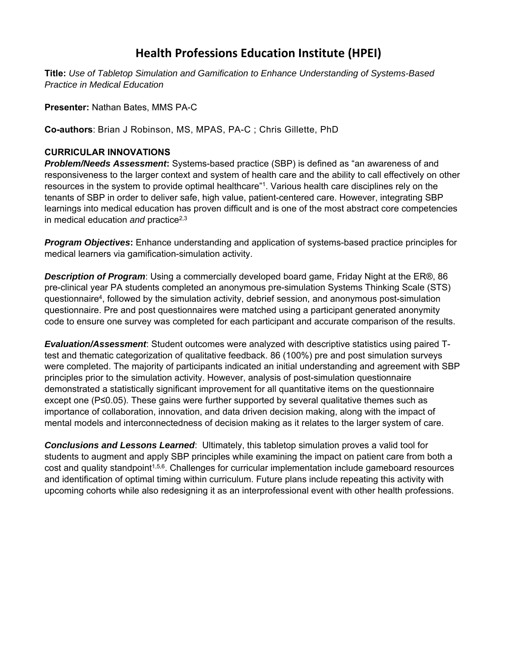## **Health Professions Education Institute (HPEI)**

**Title:** *Use of Tabletop Simulation and Gamification to Enhance Understanding of Systems-Based Practice in Medical Education*

**Presenter:** Nathan Bates, MMS PA-C

**Co-authors**: Brian J Robinson, MS, MPAS, PA-C ; Chris Gillette, PhD

## **CURRICULAR INNOVATIONS**

*Problem/Needs Assessment***:** Systems-based practice (SBP) is defined as "an awareness of and responsiveness to the larger context and system of health care and the ability to call effectively on other resources in the system to provide optimal healthcare"<sup>1</sup>. Various health care disciplines rely on the tenants of SBP in order to deliver safe, high value, patient-centered care. However, integrating SBP learnings into medical education has proven difficult and is one of the most abstract core competencies in medical education *and* practice<sup>2,3</sup>

*Program Objectives***:** Enhance understanding and application of systems-based practice principles for medical learners via gamification-simulation activity.

*Description of Program*: Using a commercially developed board game, Friday Night at the ER®, 86 pre-clinical year PA students completed an anonymous pre-simulation Systems Thinking Scale (STS) questionnaire<sup>4</sup>, followed by the simulation activity, debrief session, and anonymous post-simulation questionnaire. Pre and post questionnaires were matched using a participant generated anonymity code to ensure one survey was completed for each participant and accurate comparison of the results.

*Evaluation/Assessment*: Student outcomes were analyzed with descriptive statistics using paired Ttest and thematic categorization of qualitative feedback. 86 (100%) pre and post simulation surveys were completed. The majority of participants indicated an initial understanding and agreement with SBP principles prior to the simulation activity. However, analysis of post-simulation questionnaire demonstrated a statistically significant improvement for all quantitative items on the questionnaire except one (P≤0.05). These gains were further supported by several qualitative themes such as importance of collaboration, innovation, and data driven decision making, along with the impact of mental models and interconnectedness of decision making as it relates to the larger system of care.

*Conclusions and Lessons Learned*: Ultimately, this tabletop simulation proves a valid tool for students to augment and apply SBP principles while examining the impact on patient care from both a cost and quality standpoint<sup>1,5,6</sup>. Challenges for curricular implementation include gameboard resources and identification of optimal timing within curriculum. Future plans include repeating this activity with upcoming cohorts while also redesigning it as an interprofessional event with other health professions.